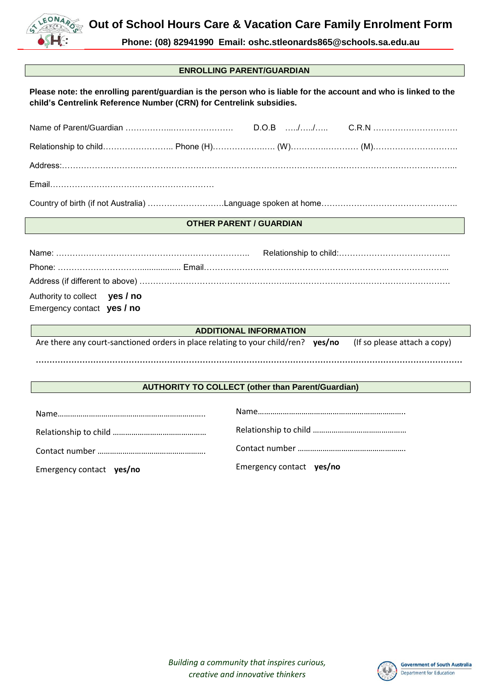

Contact number …………………………………………….

Emergency contact **yes/no**

**Phone: (08) 82941990 Email: oshc.stleonards865@schools.sa.edu.au**

## **ENROLLING PARENT/GUARDIAN**

| Please note: the enrolling parent/guardian is the person who is liable for the account and who is linked to the |
|-----------------------------------------------------------------------------------------------------------------|
| child's Centrelink Reference Number (CRN) for Centrelink subsidies.                                             |

| <b>OTHER PARENT / GUARDIAN</b>                                                                                   |  |
|------------------------------------------------------------------------------------------------------------------|--|
|                                                                                                                  |  |
|                                                                                                                  |  |
| Authority to collect yes / no<br>Emergency contact yes / no                                                      |  |
| <b>ADDITIONAL INFORMATION</b>                                                                                    |  |
| Are there any court-sanctioned orders in place relating to your child/ren? $yes/no$ (If so please attach a copy) |  |
| <b>AUTHORITY TO COLLECT (other than Parent/Guardian)</b>                                                         |  |
|                                                                                                                  |  |
|                                                                                                                  |  |

*Building a community that inspires curious, creative and innovative thinkers*



Contact number …………………………………………….

Emergency contact **yes/no**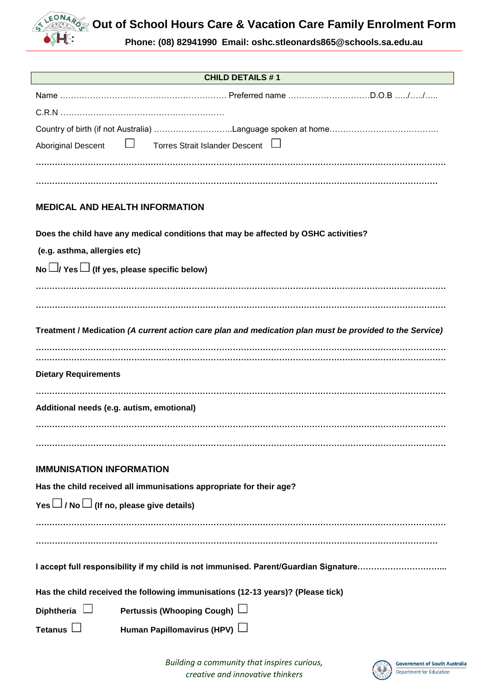

**Phone: (08) 82941990 Email: oshc.stleonards865@schools.sa.edu.au**

**SSHE:** 

 $\overline{\phantom{a}}$ 

| <b>CHILD DETAILS #1</b>                                                                                 |
|---------------------------------------------------------------------------------------------------------|
|                                                                                                         |
|                                                                                                         |
|                                                                                                         |
| $\Box$<br>Torres Strait Islander Descent L<br><b>Aboriginal Descent</b>                                 |
|                                                                                                         |
|                                                                                                         |
|                                                                                                         |
| <b>MEDICAL AND HEALTH INFORMATION</b>                                                                   |
| Does the child have any medical conditions that may be affected by OSHC activities?                     |
| (e.g. asthma, allergies etc)                                                                            |
| No $\Box$ / Yes $\Box$ (If yes, please specific below)                                                  |
|                                                                                                         |
|                                                                                                         |
|                                                                                                         |
| Treatment / Medication (A current action care plan and medication plan must be provided to the Service) |
|                                                                                                         |
| <b>Dietary Requirements</b>                                                                             |
|                                                                                                         |
| Additional needs (e.g. autism, emotional)                                                               |
|                                                                                                         |
|                                                                                                         |
|                                                                                                         |
| <b>IMMUNISATION INFORMATION</b>                                                                         |
| Has the child received all immunisations appropriate for their age?                                     |
| Yes $\Box$ / No $\Box$ (If no, please give details)                                                     |
|                                                                                                         |
|                                                                                                         |
| I accept full responsibility if my child is not immunised. Parent/Guardian Signature                    |
|                                                                                                         |
| Has the child received the following immunisations (12-13 years)? (Please tick)                         |
| Pertussis (Whooping Cough) L<br>Diphtheria                                                              |
| <b>Tetanus</b><br>Human Papillomavirus (HPV)                                                            |

*Building a community that inspires curious, creative and innovative thinkers*

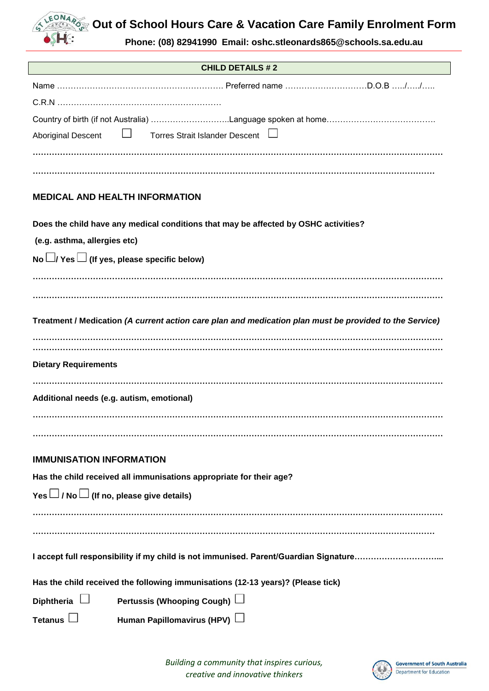**CEONARY** Out of School Hours Care & Vacation Care Family Enrolment Form

**Phone: (08) 82941990 Email: oshc.stleonards865@schools.sa.edu.au**

**SSHE:** 

| <b>CHILD DETAILS #2</b>                                                                                 |
|---------------------------------------------------------------------------------------------------------|
|                                                                                                         |
|                                                                                                         |
|                                                                                                         |
| <b>Torres Strait Islander Descent</b><br><b>Aboriginal Descent</b>                                      |
|                                                                                                         |
|                                                                                                         |
| <b>MEDICAL AND HEALTH INFORMATION</b>                                                                   |
| Does the child have any medical conditions that may be affected by OSHC activities?                     |
| (e.g. asthma, allergies etc)                                                                            |
| No $\Box$ / Yes $\Box$ (If yes, please specific below)                                                  |
|                                                                                                         |
|                                                                                                         |
| Treatment / Medication (A current action care plan and medication plan must be provided to the Service) |
|                                                                                                         |
|                                                                                                         |
| <b>Dietary Requirements</b>                                                                             |
|                                                                                                         |
| Additional needs (e.g. autism, emotional)                                                               |
|                                                                                                         |
|                                                                                                         |
| <b>IMMUNISATION INFORMATION</b>                                                                         |
| Has the child received all immunisations appropriate for their age?                                     |
| Yes $\Box$ / No $\Box$ (If no, please give details)                                                     |
|                                                                                                         |
|                                                                                                         |
|                                                                                                         |
| I accept full responsibility if my child is not immunised. Parent/Guardian Signature                    |
| Has the child received the following immunisations (12-13 years)? (Please tick)                         |
| Pertussis (Whooping Cough) L<br>Diphtheria $\Box$                                                       |
| <b>Tetanus</b><br>Human Papillomavirus (HPV)                                                            |

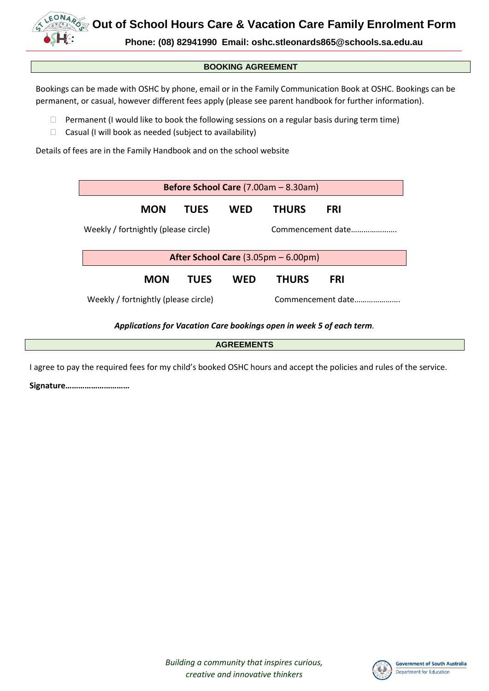**Out of School Hours Care & Vacation Care Family Enrolment Form**

**Phone: (08) 82941990 Email: oshc.stleonards865@schools.sa.edu.au**

## **BOOKING AGREEMENT**

Bookings can be made with OSHC by phone, email or in the Family Communication Book at OSHC. Bookings can be permanent, or casual, however different fees apply (please see parent handbook for further information).

- $\Box$  Permanent (I would like to book the following sessions on a regular basis during term time)
- $\Box$  Casual (I will book as needed (subject to availability)

Details of fees are in the Family Handbook and on the school website

| Before School Care (7.00am - 8.30am)                  |     |                   |            |  |  |  |
|-------------------------------------------------------|-----|-------------------|------------|--|--|--|
| <b>TUES</b>                                           | WFD | <b>THURS</b>      | <b>FRI</b> |  |  |  |
| Weekly / fortnightly (please circle)                  |     | Commencement date |            |  |  |  |
| After School Care $(3.05 \text{pm} - 6.00 \text{pm})$ |     |                   |            |  |  |  |
| TUES                                                  | WFD | <b>THURS</b>      | <b>FRI</b> |  |  |  |
| Weekly / fortnightly (please circle)                  |     | Commencement date |            |  |  |  |
|                                                       |     |                   |            |  |  |  |

## *Applications for Vacation Care bookings open in week 5 of each term.*

I agree to pay the required fees for my child's booked OSHC hours and accept the policies and rules of the service.

**Signature…………………………**